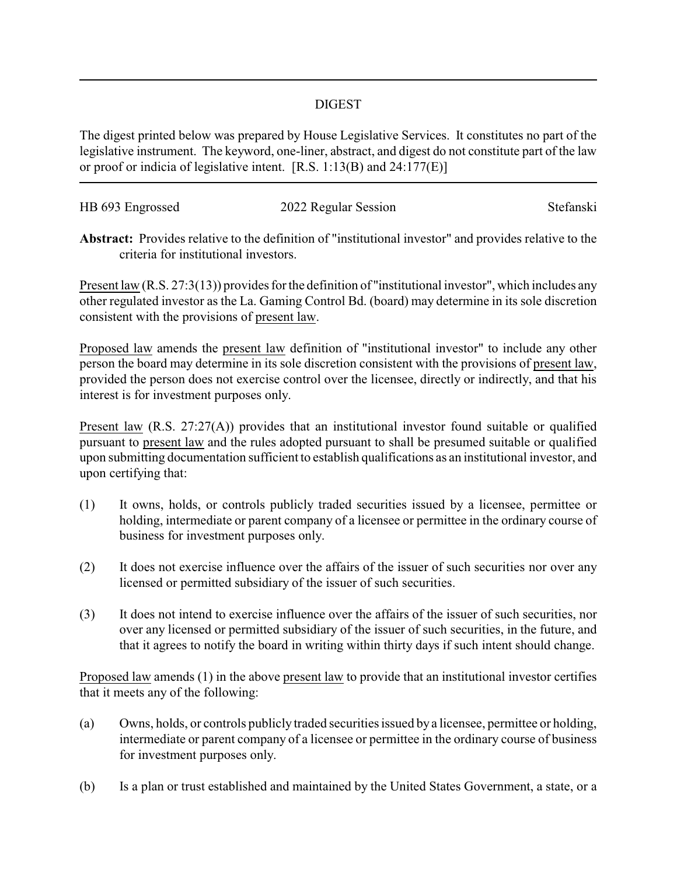## DIGEST

The digest printed below was prepared by House Legislative Services. It constitutes no part of the legislative instrument. The keyword, one-liner, abstract, and digest do not constitute part of the law or proof or indicia of legislative intent. [R.S. 1:13(B) and 24:177(E)]

| HB 693 Engrossed | 2022 Regular Session | Stefanski |
|------------------|----------------------|-----------|
|                  |                      |           |

**Abstract:** Provides relative to the definition of "institutional investor" and provides relative to the criteria for institutional investors.

Present law (R.S. 27:3(13)) provides for the definition of "institutional investor", which includes any other regulated investor as the La. Gaming Control Bd. (board) may determine in its sole discretion consistent with the provisions of present law.

Proposed law amends the present law definition of "institutional investor" to include any other person the board may determine in its sole discretion consistent with the provisions of present law, provided the person does not exercise control over the licensee, directly or indirectly, and that his interest is for investment purposes only.

Present law (R.S. 27:27(A)) provides that an institutional investor found suitable or qualified pursuant to present law and the rules adopted pursuant to shall be presumed suitable or qualified upon submitting documentation sufficient to establish qualifications as an institutional investor, and upon certifying that:

- (1) It owns, holds, or controls publicly traded securities issued by a licensee, permittee or holding, intermediate or parent company of a licensee or permittee in the ordinary course of business for investment purposes only.
- (2) It does not exercise influence over the affairs of the issuer of such securities nor over any licensed or permitted subsidiary of the issuer of such securities.
- (3) It does not intend to exercise influence over the affairs of the issuer of such securities, nor over any licensed or permitted subsidiary of the issuer of such securities, in the future, and that it agrees to notify the board in writing within thirty days if such intent should change.

Proposed law amends (1) in the above present law to provide that an institutional investor certifies that it meets any of the following:

- (a) Owns, holds, or controls publicly traded securities issued by a licensee, permittee or holding, intermediate or parent company of a licensee or permittee in the ordinary course of business for investment purposes only.
- (b) Is a plan or trust established and maintained by the United States Government, a state, or a